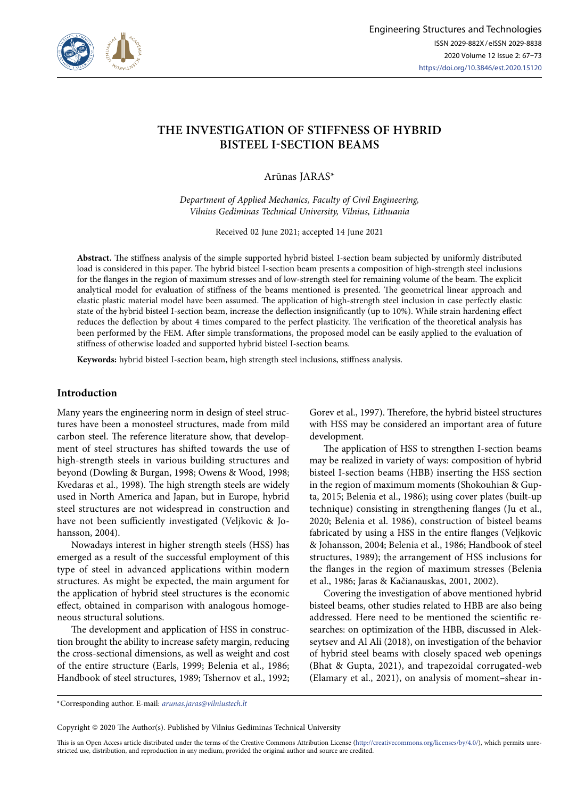

# **THE INVESTIGATION OF STIFFNESS OF HYBRID BISTEEL I-SECTION BEAMS**

Arūnas JARAS\*

*Department of Applied Mechanics, Faculty of Civil Engineering, Vilnius Gediminas Technical University, Vilnius, Lithuania*

Received 02 June 2021; accepted 14 June 2021

**Abstract.** The stiffness analysis of the simple supported hybrid bisteel I-section beam subjected by uniformly distributed load is considered in this paper. The hybrid bisteel I-section beam presents a composition of high-strength steel inclusions for the flanges in the region of maximum stresses and of low-strength steel for remaining volume of the beam. The explicit analytical model for evaluation of stiffness of the beams mentioned is presented. The geometrical linear approach and elastic plastic material model have been assumed. The application of high-strength steel inclusion in case perfectly elastic state of the hybrid bisteel I-section beam, increase the deflection insignificantly (up to 10%). While strain hardening effect reduces the deflection by about 4 times compared to the perfect plasticity. The verification of the theoretical analysis has been performed by the FEM. After simple transformations, the proposed model can be easily applied to the evaluation of stiffness of otherwise loaded and supported hybrid bisteel I-section beams.

**Keywords:** hybrid bisteel I-section beam, high strength steel inclusions, stiffness analysis.

## **Introduction**

Many years the engineering norm in design of steel structures have been a monosteel structures, made from mild carbon steel. The reference literature show, that development of steel structures has shifted towards the use of high-strength steels in various building structures and beyond (Dowling & Burgan, 1998; Owens & Wood, 1998; Kvedaras et al., 1998). The high strength steels are widely used in North America and Japan, but in Europe, hybrid steel structures are not widespread in construction and have not been sufficiently investigated (Veljkovic & Johansson, 2004).

Nowadays interest in higher strength steels (HSS) has emerged as a result of the successful employment of this type of steel in advanced applications within modern structures. As might be expected, the main argument for the application of hybrid steel structures is the economic effect, obtained in comparison with analogous homogeneous structural solutions.

The development and application of HSS in construction brought the ability to increase safety margin, reducing the cross-sectional dimensions, as well as weight and cost of the entire structure (Earls, 1999; Belenia et al., 1986; Handbook of steel structures, 1989; Tshernov et al., 1992;

Gorev et al., 1997). Therefore, the hybrid bisteel structures with HSS may be considered an important area of future development.

The application of HSS to strengthen I-section beams may be realized in variety of ways: composition of hybrid bisteel I-section beams (HBB) inserting the HSS section in the region of maximum moments (Shokouhian & Gupta, 2015; Belenia et al., 1986); using cover plates (built-up technique) consisting in strengthening flanges (Ju et al., 2020; Belenia et al. 1986), construction of bisteel beams fabricated by using a HSS in the entire flanges (Veljkovic & Johansson, 2004; Belenia et al., 1986; Handbook of steel structures, 1989); the arrangement of HSS inclusions for the flanges in the region of maximum stresses (Belenia et al., 1986; Jaras & Kačianauskas, 2001, 2002).

Covering the investigation of above mentioned hybrid bisteel beams, other studies related to HBB are also being addressed. Here need to be mentioned the scientific researches: on optimization of the HBB, discussed in Alekseytsev and Al Ali (2018), on investigation of the behavior of hybrid steel beams with closely spaced web openings (Bhat & Gupta, 2021), and trapezoidal corrugated-web (Elamary et al., 2021), on analysis of moment–shear in-

\*Corresponding author. E-mail: *arunas.jaras@vilniustech.lt*

Copyright © 2020 The Author(s). Published by Vilnius Gediminas Technical University

This is an Open Access article distributed under the terms of the Creative Commons Attribution License (<http://creativecommons.org/licenses/by/4.0/>), which permits unrestricted use, distribution, and reproduction in any medium, provided the original author and source are credited.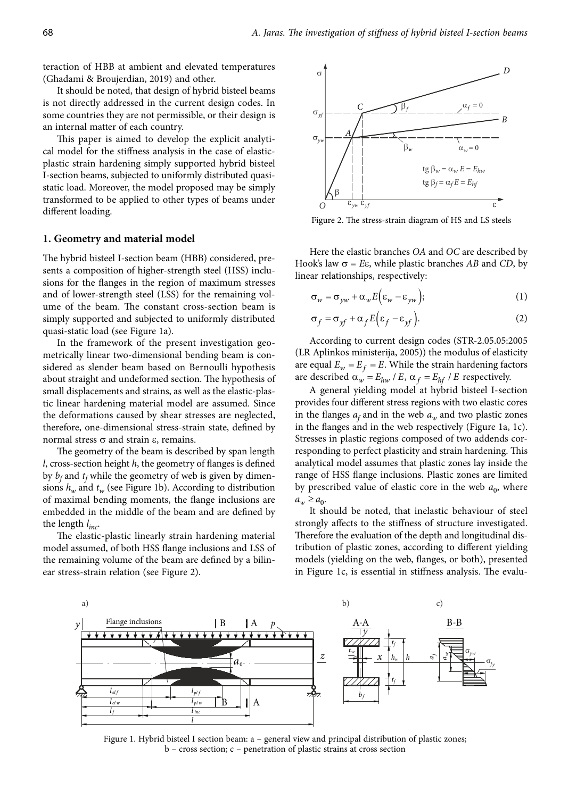teraction of HBB at ambient and elevated temperatures (Ghadami & Broujerdian, 2019) and other.

It should be noted, that design of hybrid bisteel beams is not directly addressed in the current design codes. In some countries they are not permissible, or their design is an internal matter of each country.

This paper is aimed to develop the explicit analytical model for the stiffness analysis in the case of elasticplastic strain hardening simply supported hybrid bisteel I-section beams, subjected to uniformly distributed quasistatic load. Moreover, the model proposed may be simply transformed to be applied to other types of beams under different loading.

#### **1. Geometry and material model**

The hybrid bisteel I-section beam (HBB) considered, presents a composition of higher-strength steel (HSS) inclusions for the flanges in the region of maximum stresses and of lower-strength steel (LSS) for the remaining volume of the beam. The constant cross-section beam is simply supported and subjected to uniformly distributed quasi-static load (see Figure 1a).

In the framework of the present investigation geometrically linear two-dimensional bending beam is considered as slender beam based on Bernoulli hypothesis about straight and undeformed section. The hypothesis of small displacements and strains, as well as the elastic-plastic linear hardening material model are assumed. Since the deformations caused by shear stresses are neglected, therefore, one-dimensional stress-strain state, defined by normal stress  $\sigma$  and strain  $\varepsilon$ , remains.

The geometry of the beam is described by span length *l*, cross-section height *h*, the geometry of flanges is defined by  $b_f$  and  $t_f$  while the geometry of web is given by dimensions  $h_w$  and  $t_w$  (see Figure 1b). According to distribution of maximal bending moments, the flange inclusions are embedded in the middle of the beam and are defined by the length *l inc*.

The elastic-plastic linearly strain hardening material model assumed, of both HSS flange inclusions and LSS of the remaining volume of the beam are defined by a bilinear stress-strain relation (see Figure 2).



Figure 2. The stress-strain diagram of HS and LS steels

Here the elastic branches *OA* and *OC* are described by Hook's law  $\sigma = E\varepsilon$ , while plastic branches *AB* and *CD*, by linear relationships, respectively:

$$
\sigma_w = \sigma_{yw} + \alpha_w E(\varepsilon_w - \varepsilon_{yw}); \tag{1}
$$

$$
\sigma_f = \sigma_{yf} + \alpha_f E \Big(\varepsilon_f - \varepsilon_{yf}\Big). \tag{2}
$$

According to current design codes (STR-2.05.05:2005 (LR Aplinkos ministerija, 2005)) the modulus of elasticity are equal  $E_w = E_f = E$ . While the strain hardening factors are described  $\alpha_w = E_{hw} / E$ ,  $\alpha_f = E_{hf} / E$  respectively.

A general yielding model at hybrid bisteel I-section provides four different stress regions with two elastic cores in the flanges  $a_f$  and in the web  $a_w$  and two plastic zones in the flanges and in the web respectively (Figure 1a, 1c). Stresses in plastic regions composed of two addends corresponding to perfect plasticity and strain hardening. This analytical model assumes that plastic zones lay inside the range of HSS flange inclusions. Plastic zones are limited by prescribed value of elastic core in the web  $a_0$ , where  $a_w \geq a_0$ .

It should be noted, that inelastic behaviour of steel strongly affects to the stiffness of structure investigated. Therefore the evaluation of the depth and longitudinal distribution of plastic zones, according to different yielding models (yielding on the web, flanges, or both), presented in Figure 1c, is essential in stiffness analysis. The evalu-



Figure 1. Hybrid bisteel I section beam: a – general view and principal distribution of plastic zones; b – cross section; c – penetration of plastic strains at cross section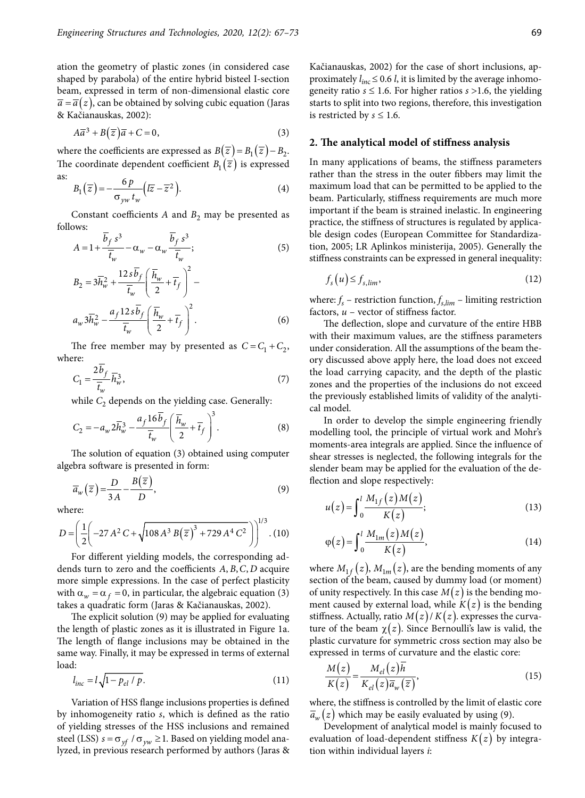ation the geometry of plastic zones (in considered case shaped by parabola) of the entire hybrid bisteel I-section beam, expressed in term of non-dimensional elastic core  $\overline{a} = \overline{a}(z)$ , can be obtained by solving cubic equation (Jaras & Kačianauskas, 2002):

$$
A\overline{a}^3 + B(\overline{z})\overline{a} + C = 0,\t\t(3)
$$

where the coefficients are expressed as  $B(\overline{z}) = B_1(\overline{z}) - B_2$ . The coordinate dependent coefficient  $B_1(\overline{z})$  is expressed as:

$$
B_1(\overline{z}) = -\frac{6p}{\sigma_{yw}t_w}(\overline{z} - \overline{z}^2).
$$
 (4)

Constant coefficients  $A$  and  $B_2$  may be presented as follows:

$$
A = 1 + \frac{b_f s^3}{\overline{t}_w} - \alpha_w - \alpha_w \frac{b_f s^3}{\overline{t}_w};
$$
\n<sup>(5)</sup>

$$
B_2 = 3\overline{h}_w^2 + \frac{12s\overline{b}_f}{\overline{t}_w} \left(\frac{\overline{h}_w}{2} + \overline{t}_f\right)^2 -
$$
  

$$
a_w 3\overline{h}_w^2 - \frac{a_f 12s\overline{b}_f}{\overline{t}_w} \left(\frac{\overline{h}_w}{2} + \overline{t}_f\right)^2.
$$
 (6)

The free member may by presented as  $C = C_1 + C_2$ , where:

$$
C_1 = \frac{2b_f}{\overline{t}_w} \overline{h}_w^3,\tag{7}
$$

while  $C_2$  depends on the yielding case. Generally:

$$
C_2 = -a_w 2\overline{h}_w^3 - \frac{a_f 16\overline{b}_f}{\overline{t}_w} \left(\frac{\overline{h}_w}{2} + \overline{t}_f\right)^3.
$$
 (8)

The solution of equation (3) obtained using computer algebra software is presented in form:

$$
\overline{a}_w(\overline{z}) = \frac{D}{3A} - \frac{B(\overline{z})}{D},\tag{9}
$$

where:

$$
D = \left(\frac{1}{2} \left(-27 A^2 C + \sqrt{108 A^3 B(\overline{z})^3 + 729 A^4 C^2}\right)\right)^{1/3} . (10)
$$

For different yielding models, the corresponding addends turn to zero and the coefficients A, B, C, D acquire more simple expressions. In the case of perfect plasticity with  $\alpha_w = \alpha_f = 0$ , in particular, the algebraic equation (3) takes a quadratic form (Jaras & Kačianauskas, 2002).

The explicit solution (9) may be applied for evaluating the length of plastic zones as it is illustrated in Figure 1a. The length of flange inclusions may be obtained in the same way. Finally, it may be expressed in terms of external load:

$$
l_{inc} = l\sqrt{1 - p_{el} / p}.
$$
 (11)

Variation of HSS flange inclusions properties is defined by inhomogeneity ratio *s*, which is defined as the ratio of yielding stresses of the HSS inclusions and remained steel (LSS)  $s = \sigma_{\gamma f} / \sigma_{\gamma w} \ge 1$ . Based on yielding model analyzed, in previous research performed by authors (Jaras & Kačianauskas, 2002) for the case of short inclusions, approximately  $l_{inc} \leq 0.6$  *l*, it is limited by the average inhomogeneity ratio  $s \leq 1.6$ . For higher ratios  $s > 1.6$ , the yielding starts to split into two regions, therefore, this investigation is restricted by  $s \leq 1.6$ .

#### **2. The analytical model of stiffness analysis**

In many applications of beams, the stiffness parameters rather than the stress in the outer fibbers may limit the maximum load that can be permitted to be applied to the beam. Particularly, stiffness requirements are much more important if the beam is strained inelastic. In engineering practice, the stiffness of structures is regulated by applicable design codes (European Committee for Standardization, 2005; LR Aplinkos ministerija, 2005). Generally the stiffness constraints can be expressed in general inequality:

$$
f_s(u) \le f_{s,lim},\tag{12}
$$

where:  $f_s$  – restriction function,  $f_{s,lim}$  – limiting restriction factors, *u* – vector of stiffness factor.

The deflection, slope and curvature of the entire HBB with their maximum values, are the stiffness parameters under consideration. All the assumptions of the beam theory discussed above apply here, the load does not exceed the load carrying capacity, and the depth of the plastic zones and the properties of the inclusions do not exceed the previously established limits of validity of the analytical model.

In order to develop the simple engineering friendly modelling tool, the principle of virtual work and Mohr's moments-area integrals are applied. Since the influence of shear stresses is neglected, the following integrals for the slender beam may be applied for the evaluation of the deflection and slope respectively:

$$
u(z) = \int_0^l \frac{M_{1f}(z)M(z)}{K(z)};
$$
 (13)

$$
\varphi(z) = \int_0^l \frac{M_{1m}(z)M(z)}{K(z)},\tag{14}
$$

where  $M_{1f}(z)$ ,  $M_{1m}(z)$ , are the bending moments of any section of the beam, caused by dummy load (or moment) of unity respectively. In this case  $M(z)$  is the bending moment caused by external load, while  $K(z)$  is the bending stiffness. Actually, ratio  $M(z)/K(z)$ . expresses the curvature of the beam  $\chi(z)$ . Since Bernoulli's law is valid, the plastic curvature for symmetric cross section may also be expressed in terms of curvature and the elastic core:

$$
\frac{M(z)}{K(z)} = \frac{M_{el}(z)h}{K_{el}(z)\overline{a}_w(\overline{z})},
$$
\n(15)

where, the stiffness is controlled by the limit of elastic core  $\overline{a}_{w}(z)$  which may be easily evaluated by using (9).

Development of analytical model is mainly focused to evaluation of load-dependent stiffness  $K(z)$  by integration within individual layers *i*: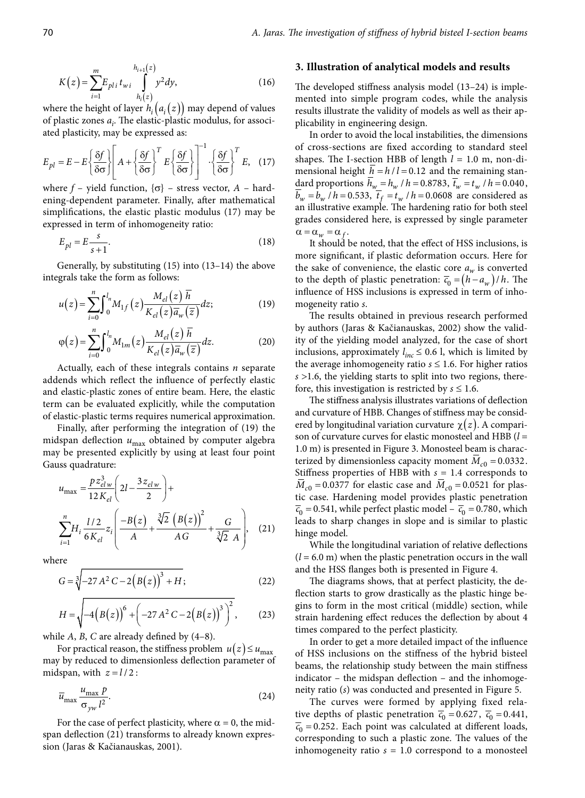$$
K(z) = \sum_{i=1}^{m} E_{pli} t_{wi} \int_{h_i(z)}^{h_{i+1}(z)} y^2 dy,
$$
 (16)

where the height of layer  $h_i(a_i(z))$  may depend of values of plastic zones *ai* . The elastic-plastic modulus, for associated plasticity, may be expressed as:

$$
E_{pl} = E - E \left\{ \frac{\delta f}{\delta \sigma} \right\} \left[ A + \left\{ \frac{\delta f}{\delta \sigma} \right\}^T E \left\{ \frac{\delta f}{\delta \sigma} \right\} \right]^{-1} \cdot \left\{ \frac{\delta f}{\delta \sigma} \right\}^T E, \quad (17)
$$

where  $f$  – yield function,  $\{\sigma\}$  – stress vector,  $A$  – hardening-dependent parameter. Finally, after mathematical simplifications, the elastic plastic modulus (17) may be expressed in term of inhomogeneity ratio:

$$
E_{pl} = E \frac{s}{s+1}.\tag{18}
$$

Generally, by substituting (15) into (13–14) the above integrals take the form as follows:

$$
u(z) = \sum_{i=0}^{n} \int_0^{l_n} M_{1f}(z) \frac{M_{el}(z) \overline{h}}{K_{el}(z) \overline{a}_w(\overline{z})} dz; \qquad (19)
$$

$$
\varphi(z) = \sum_{i=0}^{n} \int_{0}^{l_n} M_{1m}(z) \frac{M_{el}(z) \overline{h}}{K_{el}(z) \overline{a}_w(\overline{z})} dz.
$$
 (20)

Actually, each of these integrals contains *n* separate addends which reflect the influence of perfectly elastic and elastic-plastic zones of entire beam. Here, the elastic term can be evaluated explicitly, while the computation of elastic-plastic terms requires numerical approximation.

Finally, after performing the integration of (19) the midspan deflection *u*max obtained by computer algebra may be presented explicitly by using at least four point Gauss quadrature:

$$
u_{\text{max}} = \frac{pz_{elw}^3}{12K_{el}} \left(2l - \frac{3z_{elw}}{2}\right) +
$$
  

$$
\sum_{i=1}^n H_i \frac{l/2}{6K_{el}} z_i \left(\frac{-B(z)}{A} + \frac{\sqrt[3]{2} (B(z))^2}{AG} + \frac{G}{\sqrt[3]{2} A}\right), \quad (21)
$$

where

$$
G = \sqrt[3]{-27 A^2 C - 2(B(z))^{3} + H},
$$
\n(22)

$$
H = \sqrt{-4 (B(z))^{6} + (-27 A^{2} C - 2 (B(z))^{3})^{2}},
$$
 (23)

while *A*, *B*, *C* are already defined by (4–8).

For practical reason, the stiffness problem  $u(z) \leq u_{\text{max}}$ may by reduced to dimensionless deflection parameter of midspan, with  $z = l/2$ :

$$
\overline{u}_{\text{max}} \frac{u_{\text{max}} p}{\sigma_{yw} l^2}.
$$
 (24)

For the case of perfect plasticity, where  $\alpha = 0$ , the midspan deflection (21) transforms to already known expression (Jaras & Kačianauskas, 2001).

#### **3. Illustration of analytical models and results**

The developed stiffness analysis model (13–24) is implemented into simple program codes, while the analysis results illustrate the validity of models as well as their applicability in engineering design.

In order to avoid the local instabilities, the dimensions of cross-sections are fixed according to standard steel shapes. The I-section HBB of length  $l = 1.0$  m, non-dimensional height  $\overline{h} = h/l = 0.12$  and the remaining standard proportions  $\bar{h}_w = h_w / h = 0.8783$ ,  $\bar{t}_w = t_w / h = 0.040$ ,  $\overline{b}_w = b_w / h = 0.533$ ,  $\overline{t}_f = t_w / h = 0.0608$  are considered as an illustrative example. The hardening ratio for both steel grades considered here, is expressed by single parameter  $\alpha = \alpha_w = \alpha_f$ .

It should be noted, that the effect of HSS inclusions, is more significant, if plastic deformation occurs. Here for the sake of convenience, the elastic core  $a_w$  is converted to the depth of plastic penetration:  $\overline{c}_0 = (h - a_w)/h$ . The influence of HSS inclusions is expressed in term of inhomogeneity ratio *s*.

The results obtained in previous research performed by authors (Jaras & Kačianauskas, 2002) show the validity of the yielding model analyzed, for the case of short inclusions, approximately  $l_{inc} \leq 0.6$  l, which is limited by the average inhomogeneity ratio  $s \leq 1.6$ . For higher ratios *s* >1.6, the yielding starts to split into two regions, therefore, this investigation is restricted by  $s \leq 1.6$ .

The stiffness analysis illustrates variations of deflection and curvature of HBB. Changes of stiffness may be considered by longitudinal variation curvature χ(*z* ). A comparison of curvature curves for elastic monosteel and HBB (*l* = 1.0 m) is presented in Figure 3. Monosteel beam is characterized by dimensionless capacity moment  $\overline{M}_{c0} = 0.0332$ . Stiffness properties of HBB with  $s = 1.4$  corresponds to  $M_{c0} = 0.0377$  for elastic case and  $M_{c0} = 0.0521$  for plastic case. Hardening model provides plastic penetration  $\overline{c}_0$  = 0.541, while perfect plastic model –  $\overline{c}_0$  = 0.780, which leads to sharp changes in slope and is similar to plastic hinge model.

While the longitudinal variation of relative deflections  $(l = 6.0 \text{ m})$  when the plastic penetration occurs in the wall and the HSS flanges both is presented in Figure 4.

The diagrams shows, that at perfect plasticity, the deflection starts to grow drastically as the plastic hinge begins to form in the most critical (middle) section, while strain hardening effect reduces the deflection by about 4 times compared to the perfect plasticity.

In order to get a more detailed impact of the influence of HSS inclusions on the stiffness of the hybrid bisteel beams, the relationship study between the main stiffness indicator – the midspan deflection – and the inhomogeneity ratio (*s*) was conducted and presented in Figure 5.

The curves were formed by applying fixed relative depths of plastic penetration  $\overline{c}_0 = 0.627$ ,  $\overline{c}_0 = 0.441$ ,  $\overline{c}_0$  = 0.252. Each point was calculated at different loads, corresponding to such a plastic zone. The values of the inhomogeneity ratio  $s = 1.0$  correspond to a monosteel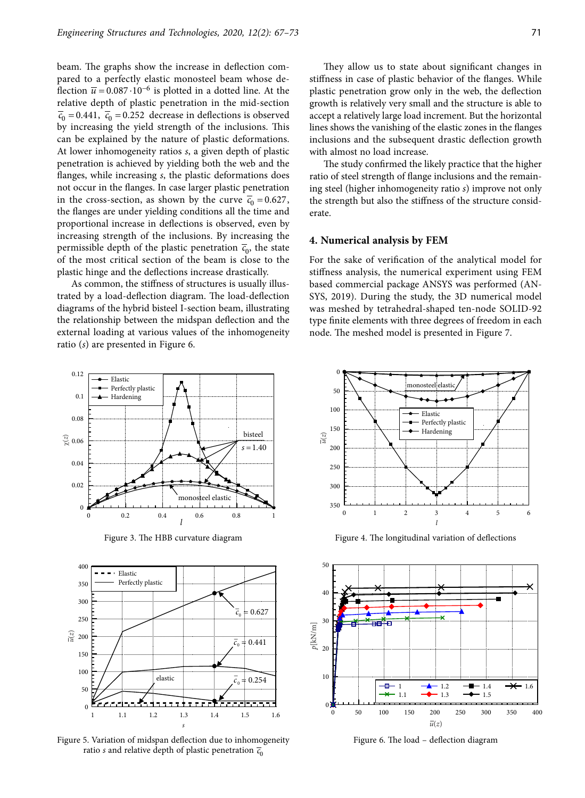beam. The graphs show the increase in deflection compared to a perfectly elastic monosteel beam whose deflection  $\overline{u}$  = 0.087 · 10<sup>-6</sup> is plotted in a dotted line. At the relative depth of plastic penetration in the mid-section  $\overline{c}_0$  = 0.441,  $\overline{c}_0$  = 0.252 decrease in deflections is observed by increasing the yield strength of the inclusions. This can be explained by the nature of plastic deformations. At lower inhomogeneity ratios *s*, a given depth of plastic penetration is achieved by yielding both the web and the flanges, while increasing *s*, the plastic deformations does not occur in the flanges. In case larger plastic penetration in the cross-section, as shown by the curve  $\overline{c}_0 = 0.627$ , the flanges are under yielding conditions all the time and proportional increase in deflections is observed, even by increasing strength of the inclusions. By increasing the permissible depth of the plastic penetration  $\overline{c}_0$ , the state of the most critical section of the beam is close to the plastic hinge and the deflections increase drastically.

As common, the stiffness of structures is usually illustrated by a load-deflection diagram. The load-deflection diagrams of the hybrid bisteel I-section beam, illustrating the relationship between the midspan deflection and the external loading at various values of the inhomogeneity ratio (*s*) are presented in Figure 6.





Figure 5. Variation of midspan deflection due to inhomogeneity ratio *s* and relative depth of plastic penetration  $\overline{c}_0$ 

They allow us to state about significant changes in stiffness in case of plastic behavior of the flanges. While plastic penetration grow only in the web, the deflection growth is relatively very small and the structure is able to accept a relatively large load increment. But the horizontal lines shows the vanishing of the elastic zones in the flanges inclusions and the subsequent drastic deflection growth with almost no load increase.

The study confirmed the likely practice that the higher ratio of steel strength of flange inclusions and the remaining steel (higher inhomogeneity ratio *s*) improve not only the strength but also the stiffness of the structure considerate.

#### **4. Numerical analysis by FEM**

For the sake of verification of the analytical model for stiffness analysis, the numerical experiment using FEM based commercial package ANSYS was performed (AN-SYS, 2019). During the study, the 3D numerical model was meshed by tetrahedral-shaped ten-node SOLID-92 type finite elements with three degrees of freedom in each node. The meshed model is presented in Figure 7.



Figure 3. The HBB curvature diagram Figure 4. The longitudinal variation of deflections



Figure 6. The load – deflection diagram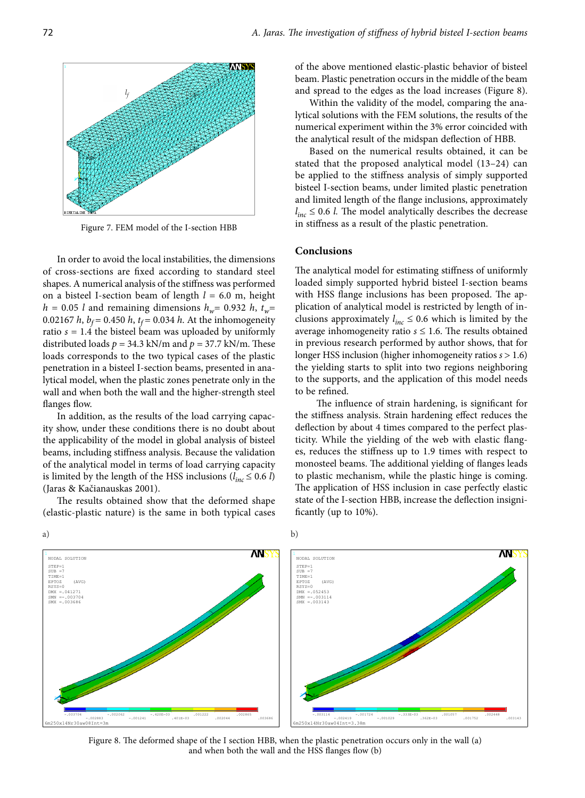

Figure 7. FEM model of the I-section HBB

In order to avoid the local instabilities, the dimensions of cross-sections are fixed according to standard steel shapes. A numerical analysis of the stiffness was performed on a bisteel I-section beam of length *l =* 6.0 m, height  $h = 0.05$  *l* and remaining dimensions  $h_w = 0.932$  *h*,  $t_w =$ 0.02167 *h*,  $b_f = 0.450$  *h*,  $t_f = 0.034$  *h*. At the inhomogeneity ratio  $s = 1.4$  the bisteel beam was uploaded by uniformly distributed loads  $p = 34.3$  kN/m and  $p = 37.7$  kN/m. These loads corresponds to the two typical cases of the plastic penetration in a bisteel I-section beams, presented in analytical model, when the plastic zones penetrate only in the wall and when both the wall and the higher-strength steel flanges flow.

In addition, as the results of the load carrying capacity show, under these conditions there is no doubt about the applicability of the model in global analysis of bisteel beams, including stiffness analysis. Because the validation of the analytical model in terms of load carrying capacity is limited by the length of the HSS inclusions  $(l_{inc} \leq 0.6 l)$ (Jaras & Kačianauskas 2001).

The results obtained show that the deformed shape (elastic-plastic nature) is the same in both typical cases of the above mentioned elastic-plastic behavior of bisteel beam. Plastic penetration occurs in the middle of the beam and spread to the edges as the load increases (Figure 8).

Within the validity of the model, comparing the analytical solutions with the FEM solutions, the results of the numerical experiment within the 3% error coincided with the analytical result of the midspan deflection of HBB.

Based on the numerical results obtained, it can be stated that the proposed analytical model (13–24) can be applied to the stiffness analysis of simply supported bisteel I-section beams, under limited plastic penetration and limited length of the flange inclusions, approximately  $l_{inc} \leq 0.6$  *l*. The model analytically describes the decrease in stiffness as a result of the plastic penetration.

#### **Conclusions**

The analytical model for estimating stiffness of uniformly loaded simply supported hybrid bisteel I-section beams with HSS flange inclusions has been proposed. The application of analytical model is restricted by length of inclusions approximately  $l_{inc} \leq 0.6$  which is limited by the average inhomogeneity ratio  $s \leq 1.6$ . The results obtained in previous research performed by author shows, that for longer HSS inclusion (higher inhomogeneity ratios *s* > 1.6) the yielding starts to split into two regions neighboring to the supports, and the application of this model needs to be refined.

The influence of strain hardening, is significant for the stiffness analysis. Strain hardening effect reduces the deflection by about 4 times compared to the perfect plasticity. While the yielding of the web with elastic flanges, reduces the stiffness up to 1.9 times with respect to monosteel beams. The additional yielding of flanges leads to plastic mechanism, while the plastic hinge is coming. The application of HSS inclusion in case perfectly elastic state of the I-section HBB, increase the deflection insignificantly (up to 10%).



Figure 8. The deformed shape of the I section HBB, when the plastic penetration occurs only in the wall (a) and when both the wall and the HSS flanges flow (b)